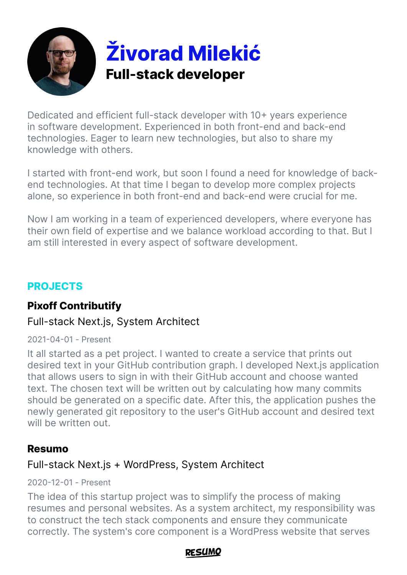

Dedicated and efficient full-stack developer with 10+ years experience in software development. Experienced in both front-end and back-end technologies. Eager to learn new technologies, but also to share my knowledge with others.

I started with front-end work, but soon I found a need for knowledge of backend technologies. At that time I began to develop more complex projects alone, so experience in both front-end and back-end were crucial for me.

Now I am working in a team of experienced developers, where everyone has their own field of expertise and we balance workload according to that. But I am still interested in every aspect of software development.

## **PROJECTS**

# **Pixoff Contributify**

## Full-stack Next.js, System Architect

2021-04-01 - Present

It all started as a pet project. I wanted to create a service that prints out desired text in your GitHub contribution graph. I developed Next.js application that allows users to sign in with their GitHub account and choose wanted text. The chosen text will be written out by calculating how many commits should be generated on a specific date. After this, the application pushes the newly generated git repository to the user's GitHub account and desired text will be written out.

### **Resumo**

# Full-stack Next.js + WordPress, System Architect

#### 2020-12-01 - Present

The idea of this startup project was to simplify the process of making resumes and personal websites. As a system architect, my responsibility was to construct the tech stack components and ensure they communicate correctly. The system's core component is a WordPress website that serves

#### DFSLIMC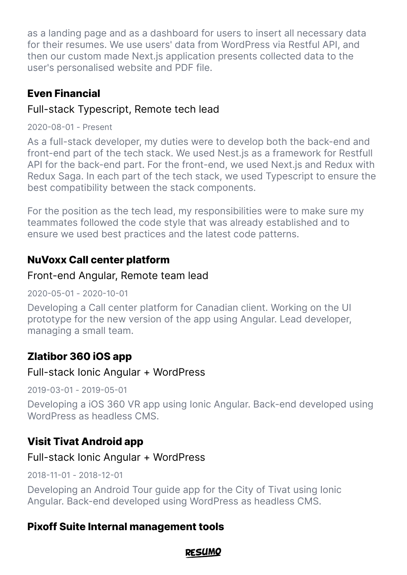as a landing page and as a dashboard for users to insert all necessary data for their resumes. We use users' data from WordPress via Restful API, and then our custom made Next.js application presents collected data to the user's personalised website and PDF file.

## **Even Financial**

## Full-stack Typescript, Remote tech lead

2020-08-01 - Present

As a full-stack developer, my duties were to develop both the back-end and front-end part of the tech stack. We used Nest.js as a framework for Restfull API for the back-end part. For the front-end, we used Next.js and Redux with Redux Saga. In each part of the tech stack, we used Typescript to ensure the best compatibility between the stack components.

For the position as the tech lead, my responsibilities were to make sure my teammates followed the code style that was already established and to ensure we used best practices and the latest code patterns.

# **NuVoxx Call center platform**

# Front-end Angular, Remote team lead

2020-05-01 - 2020-10-01

Developing a Call center platform for Canadian client. Working on the UI prototype for the new version of the app using Angular. Lead developer, managing a small team.

# **Zlatibor 360 iOS app**

## Full-stack Ionic Angular + WordPress

2019-03-01 - 2019-05-01

Developing a iOS 360 VR app using Ionic Angular. Back-end developed using WordPress as headless CMS.

# **Visit Tivat Android app**

## Full-stack Ionic Angular + WordPress

2018-11-01 - 2018-12-01

Developing an Android Tour guide app for the City of Tivat using Ionic Angular. Back-end developed using WordPress as headless CMS.

# **Pixoff Suite Internal management tools**

### **RFSUMO**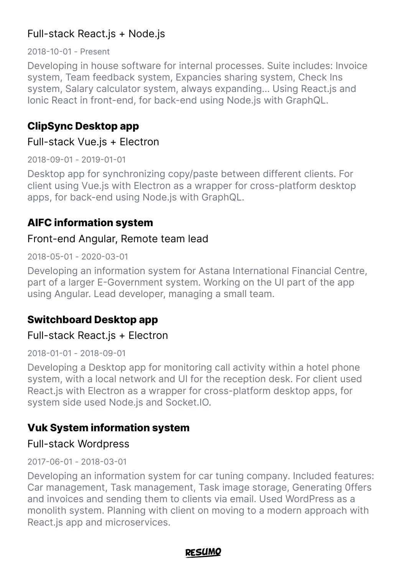## Full-stack React.js + Node.js

2018-10-01 - Present

Developing in house software for internal processes. Suite includes: Invoice system, Team feedback system, Expancies sharing system, Check Ins system, Salary calculator system, always expanding… Using React.js and Ionic React in front-end, for back-end using Node.js with GraphQL.

### **ClipSync Desktop app**

#### Full-stack Vue.js + Electron

2018-09-01 - 2019-01-01

Desktop app for synchronizing copy/paste between different clients. For client using Vue.js with Electron as a wrapper for cross-platform desktop apps, for back-end using Node.js with GraphQL.

## **AIFC information system**

#### Front-end Angular, Remote team lead

2018-05-01 - 2020-03-01

Developing an information system for Astana International Financial Centre, part of a larger E-Government system. Working on the UI part of the app using Angular. Lead developer, managing a small team.

# **Switchboard Desktop app**

### Full-stack React.js + Electron

2018-01-01 - 2018-09-01

Developing a Desktop app for monitoring call activity within a hotel phone system, with a local network and UI for the reception desk. For client used React.js with Electron as a wrapper for cross-platform desktop apps, for system side used Node.js and Socket.IO.

## **Vuk System information system**

### Full-stack Wordpress

#### 2017-06-01 - 2018-03-01

Developing an information system for car tuning company. Included features: Car management, Task management, Task image storage, Generating 0ffers and invoices and sending them to clients via email. Used WordPress as a monolith system. Planning with client on moving to a modern approach with React.js app and microservices.

#### RFSUMO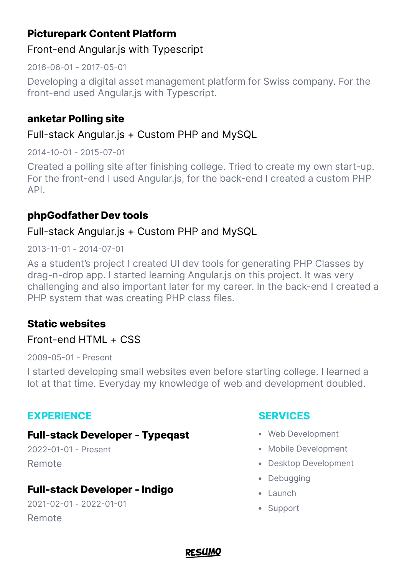# **Picturepark Content Platform**

### Front-end Angular.js with Typescript

2016-06-01 - 2017-05-01

Developing a digital asset management platform for Swiss company. For the front-end used Angular.js with Typescript.

## **anketar Polling site**

## Full-stack Angular.js + Custom PHP and MySQL

2014-10-01 - 2015-07-01

Created a polling site after finishing college. Tried to create my own start-up. For the front-end I used Angular.js, for the back-end I created a custom PHP API.

### **phpGodfather Dev tools**

### Full-stack Angular.js + Custom PHP and MySQL

#### 2013-11-01 - 2014-07-01

As a student's project I created UI dev tools for generating PHP Classes by drag-n-drop app. I started learning Angular.js on this project. It was very challenging and also important later for my career. In the back-end I created a PHP system that was creating PHP class files.

## **Static websites**

### Front-end HTML + CSS

2009-05-01 - Present

I started developing small websites even before starting college. I learned a lot at that time. Everyday my knowledge of web and development doubled.

### **EXPERIENCE**

### **Full-stack Developer - Typeqast**

2022-01-01 - Present Remote

## **Full-stack Developer - Indigo**

2021-02-01 - 2022-01-01 Remote

### **SERVICES**

- Web Development
- Mobile Development
- Desktop Development
- Debugging
- $\bullet$  Launch
- Support